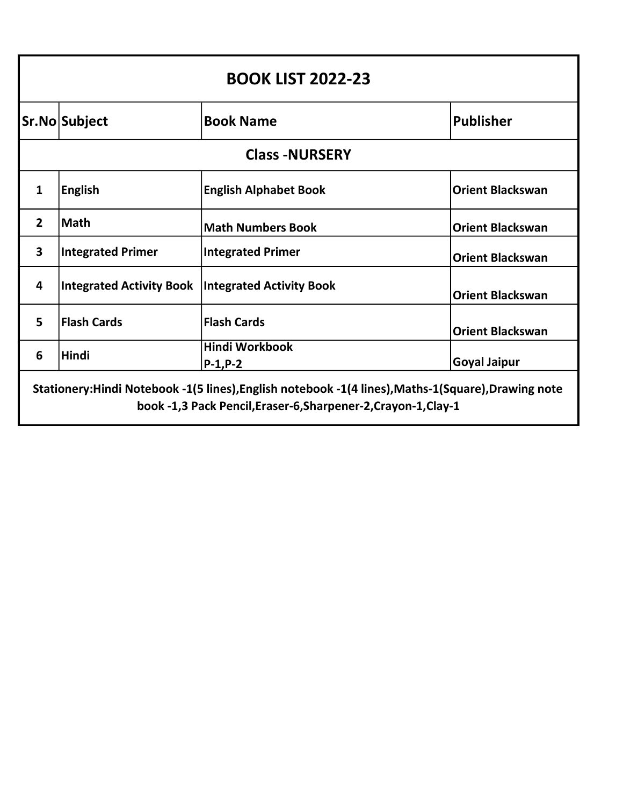|                | <b>BOOK LIST 2022-23</b>                            |                                     |                         |  |
|----------------|-----------------------------------------------------|-------------------------------------|-------------------------|--|
|                | Sr.No Subject                                       | <b>Book Name</b>                    | <b>Publisher</b>        |  |
|                | <b>Class -NURSERY</b>                               |                                     |                         |  |
| 1              | <b>English</b>                                      | <b>English Alphabet Book</b>        | <b>Orient Blackswan</b> |  |
| $\overline{2}$ | <b>Math</b>                                         | <b>Math Numbers Book</b>            | <b>Orient Blackswan</b> |  |
| 3              | <b>Integrated Primer</b>                            | <b>Integrated Primer</b>            | <b>Orient Blackswan</b> |  |
| 4              | Integrated Activity Book   Integrated Activity Book |                                     | <b>Orient Blackswan</b> |  |
| 5              | <b>Flash Cards</b>                                  | <b>Flash Cards</b>                  | <b>Orient Blackswan</b> |  |
| 6              | <b>Hindi</b>                                        | <b>Hindi Workbook</b><br>$P-1, P-2$ | <b>Goyal Jaipur</b>     |  |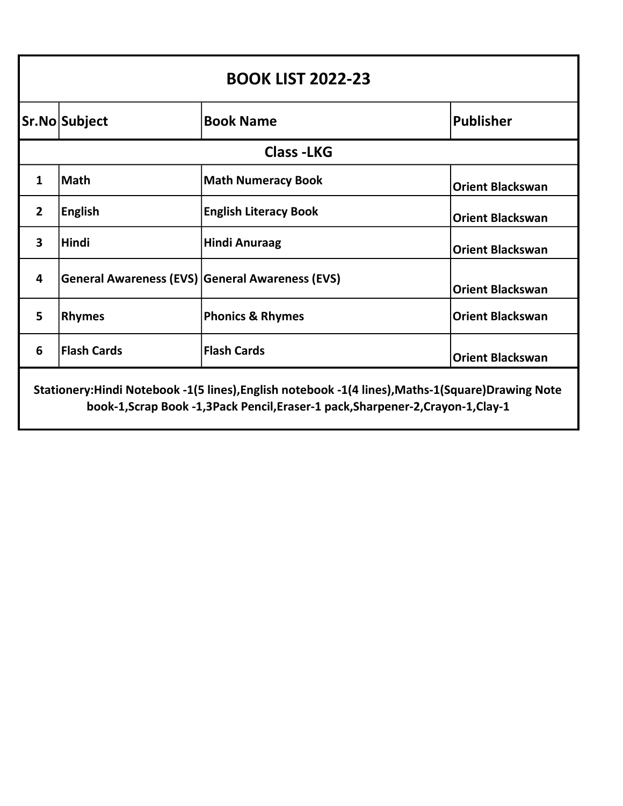| <b>BOOK LIST 2022-23</b>                                                                                                                                                                |                                                 |                              |                         |
|-----------------------------------------------------------------------------------------------------------------------------------------------------------------------------------------|-------------------------------------------------|------------------------------|-------------------------|
|                                                                                                                                                                                         | Sr.No Subject                                   | <b>Book Name</b>             | <b>Publisher</b>        |
|                                                                                                                                                                                         |                                                 | <b>Class-LKG</b>             |                         |
| $\mathbf{1}$                                                                                                                                                                            | <b>Math</b>                                     | <b>Math Numeracy Book</b>    | <b>Orient Blackswan</b> |
| $\overline{2}$                                                                                                                                                                          | <b>English</b>                                  | <b>English Literacy Book</b> | <b>Orient Blackswan</b> |
| $\overline{\mathbf{3}}$                                                                                                                                                                 | <b>Hindi</b>                                    | <b>Hindi Anuraag</b>         | <b>Orient Blackswan</b> |
| 4                                                                                                                                                                                       | General Awareness (EVS) General Awareness (EVS) |                              | <b>Orient Blackswan</b> |
| 5                                                                                                                                                                                       | <b>Rhymes</b>                                   | <b>Phonics &amp; Rhymes</b>  | <b>Orient Blackswan</b> |
| 6                                                                                                                                                                                       | <b>Flash Cards</b>                              | <b>Flash Cards</b>           | <b>Orient Blackswan</b> |
| Stationery:Hindi Notebook -1(5 lines), English notebook -1(4 lines), Maths-1(Square) Drawing Note<br>book-1, Scrap Book -1, 3 Pack Pencil, Eraser-1 pack, Sharpener-2, Crayon-1, Clay-1 |                                                 |                              |                         |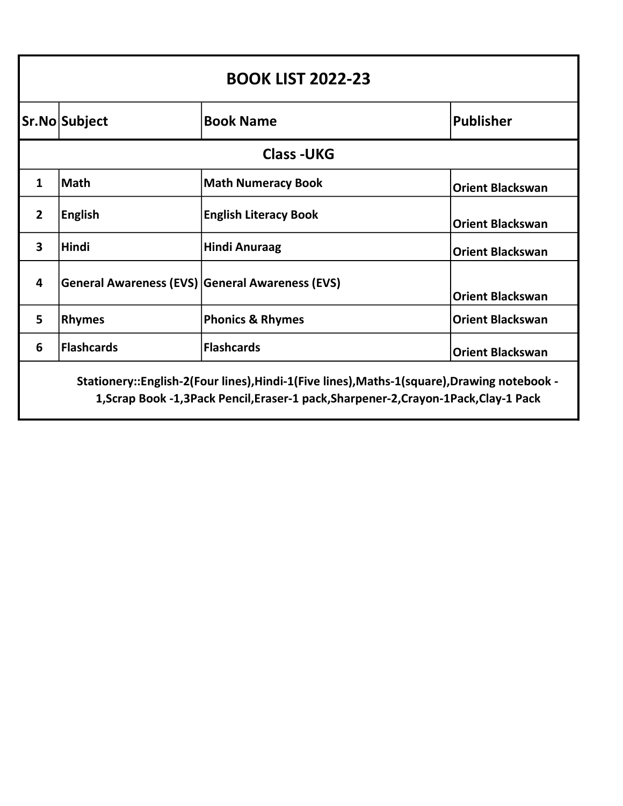| <b>BOOK LIST 2022-23</b>                                                                                                                                                             |                                                        |                              |                         |
|--------------------------------------------------------------------------------------------------------------------------------------------------------------------------------------|--------------------------------------------------------|------------------------------|-------------------------|
|                                                                                                                                                                                      | Sr.No Subject                                          | <b>Book Name</b>             | <b>Publisher</b>        |
|                                                                                                                                                                                      |                                                        | <b>Class-UKG</b>             |                         |
| $\mathbf 1$                                                                                                                                                                          | <b>Math</b>                                            | <b>Math Numeracy Book</b>    | <b>Orient Blackswan</b> |
| 2 <sup>1</sup>                                                                                                                                                                       | <b>English</b>                                         | <b>English Literacy Book</b> | <b>Orient Blackswan</b> |
| $\overline{\mathbf{3}}$                                                                                                                                                              | <b>Hindi</b>                                           | <b>Hindi Anuraag</b>         | <b>Orient Blackswan</b> |
| 4                                                                                                                                                                                    | <b>General Awareness (EVS) General Awareness (EVS)</b> |                              | <b>Orient Blackswan</b> |
| 5                                                                                                                                                                                    | <b>Rhymes</b>                                          | <b>Phonics &amp; Rhymes</b>  | <b>Orient Blackswan</b> |
| 6                                                                                                                                                                                    | <b>Flashcards</b>                                      | <b>Flashcards</b>            | <b>Orient Blackswan</b> |
| Stationery::English-2(Four lines), Hindi-1(Five lines), Maths-1(square), Drawing notebook -<br>1, Scrap Book -1, 3Pack Pencil, Eraser-1 pack, Sharpener-2, Crayon-1Pack, Clay-1 Pack |                                                        |                              |                         |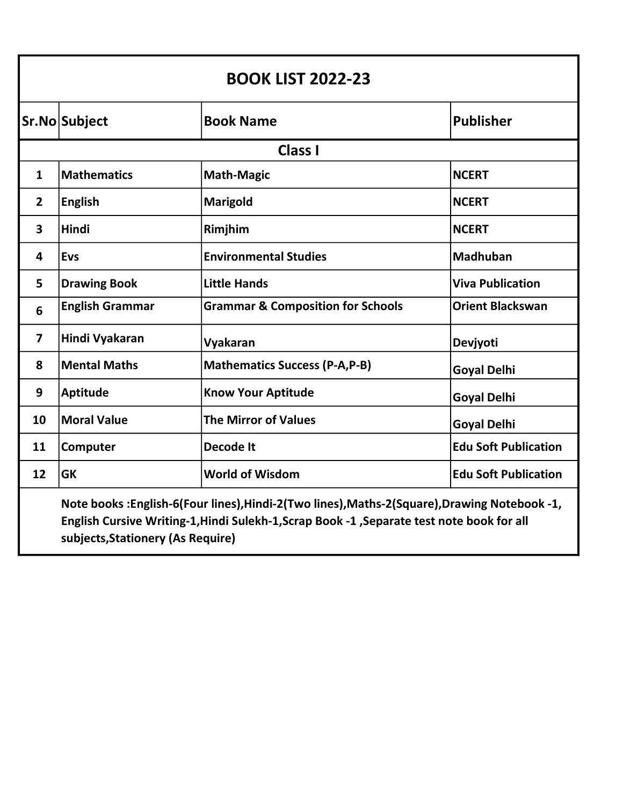| <b>BOOK LIST 2022-23</b>                                                                                                                                                                                                       |                        |                                              |                             |
|--------------------------------------------------------------------------------------------------------------------------------------------------------------------------------------------------------------------------------|------------------------|----------------------------------------------|-----------------------------|
|                                                                                                                                                                                                                                | Sr.No Subject          | <b>Book Name</b>                             | <b>Publisher</b>            |
|                                                                                                                                                                                                                                |                        | <b>Class I</b>                               |                             |
| $\mathbf{1}$                                                                                                                                                                                                                   | <b>Mathematics</b>     | <b>Math-Magic</b>                            | <b>NCERT</b>                |
| $\overline{2}$                                                                                                                                                                                                                 | <b>English</b>         | Marigold                                     | <b>NCERT</b>                |
| 3                                                                                                                                                                                                                              | Hindi                  | Rimjhim                                      | <b>NCERT</b>                |
| $\overline{\mathbf{4}}$                                                                                                                                                                                                        | <b>Evs</b>             | <b>Environmental Studies</b>                 | <b>Madhuban</b>             |
| 5                                                                                                                                                                                                                              | <b>Drawing Book</b>    | <b>Little Hands</b>                          | <b>Viva Publication</b>     |
| $6\phantom{1}6$                                                                                                                                                                                                                | <b>English Grammar</b> | <b>Grammar &amp; Composition for Schools</b> | <b>Orient Blackswan</b>     |
| $\overline{7}$                                                                                                                                                                                                                 | Hindi Vyakaran         | Vyakaran                                     | Devjyoti                    |
| 8                                                                                                                                                                                                                              | <b>Mental Maths</b>    | <b>Mathematics Success (P-A,P-B)</b>         | <b>Goyal Delhi</b>          |
| 9                                                                                                                                                                                                                              | <b>Aptitude</b>        | <b>Know Your Aptitude</b>                    | <b>Goyal Delhi</b>          |
| 10                                                                                                                                                                                                                             | <b>Moral Value</b>     | <b>The Mirror of Values</b>                  | <b>Goyal Delhi</b>          |
| 11                                                                                                                                                                                                                             | Computer               | <b>Decode It</b>                             | <b>Edu Soft Publication</b> |
| 12                                                                                                                                                                                                                             | <b>GK</b>              | <b>World of Wisdom</b>                       | <b>Edu Soft Publication</b> |
| Note books: English-6(Four lines), Hindi-2(Two lines), Maths-2(Square), Drawing Notebook -1,<br>English Cursive Writing-1, Hindi Sulekh-1, Scrap Book -1, Separate test note book for all<br>subjects, Stationery (As Require) |                        |                                              |                             |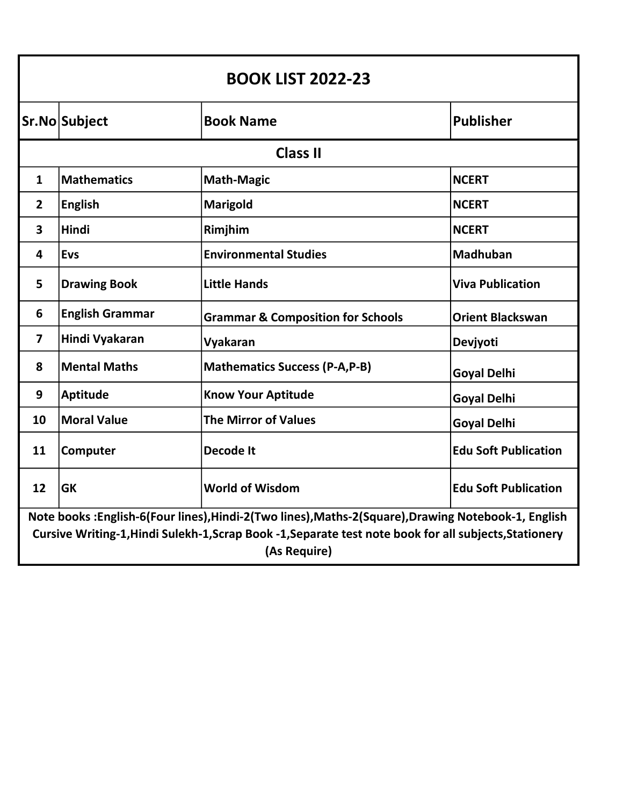| <b>BOOK LIST 2022-23</b>                                                                                                                                                                                                      |                        |                                              |                             |
|-------------------------------------------------------------------------------------------------------------------------------------------------------------------------------------------------------------------------------|------------------------|----------------------------------------------|-----------------------------|
|                                                                                                                                                                                                                               | Sr.No Subject          | <b>Book Name</b>                             | <b>Publisher</b>            |
|                                                                                                                                                                                                                               |                        | <b>Class II</b>                              |                             |
| $\mathbf{1}$                                                                                                                                                                                                                  | <b>Mathematics</b>     | <b>Math-Magic</b>                            | <b>NCERT</b>                |
| $\overline{2}$                                                                                                                                                                                                                | <b>English</b>         | <b>Marigold</b>                              | <b>NCERT</b>                |
| $\overline{\mathbf{3}}$                                                                                                                                                                                                       | <b>Hindi</b>           | Rimjhim                                      | <b>NCERT</b>                |
| 4                                                                                                                                                                                                                             | <b>Evs</b>             | <b>Environmental Studies</b>                 | <b>Madhuban</b>             |
| 5                                                                                                                                                                                                                             | <b>Drawing Book</b>    | <b>Little Hands</b>                          | <b>Viva Publication</b>     |
| 6                                                                                                                                                                                                                             | <b>English Grammar</b> | <b>Grammar &amp; Composition for Schools</b> | <b>Orient Blackswan</b>     |
| $\overline{\mathbf{z}}$                                                                                                                                                                                                       | Hindi Vyakaran         | Vyakaran                                     | Devjyoti                    |
| 8                                                                                                                                                                                                                             | <b>Mental Maths</b>    | <b>Mathematics Success (P-A,P-B)</b>         | <b>Goyal Delhi</b>          |
| 9                                                                                                                                                                                                                             | <b>Aptitude</b>        | <b>Know Your Aptitude</b>                    | <b>Goyal Delhi</b>          |
| 10                                                                                                                                                                                                                            | <b>Moral Value</b>     | <b>The Mirror of Values</b>                  | <b>Goyal Delhi</b>          |
| 11                                                                                                                                                                                                                            | Computer               | <b>Decode It</b>                             | <b>Edu Soft Publication</b> |
| 12                                                                                                                                                                                                                            | <b>GK</b>              | <b>World of Wisdom</b>                       | <b>Edu Soft Publication</b> |
| Note books: English-6(Four lines), Hindi-2(Two lines), Maths-2(Square), Drawing Notebook-1, English<br>Cursive Writing-1, Hindi Sulekh-1, Scrap Book -1, Separate test note book for all subjects, Stationery<br>(As Require) |                        |                                              |                             |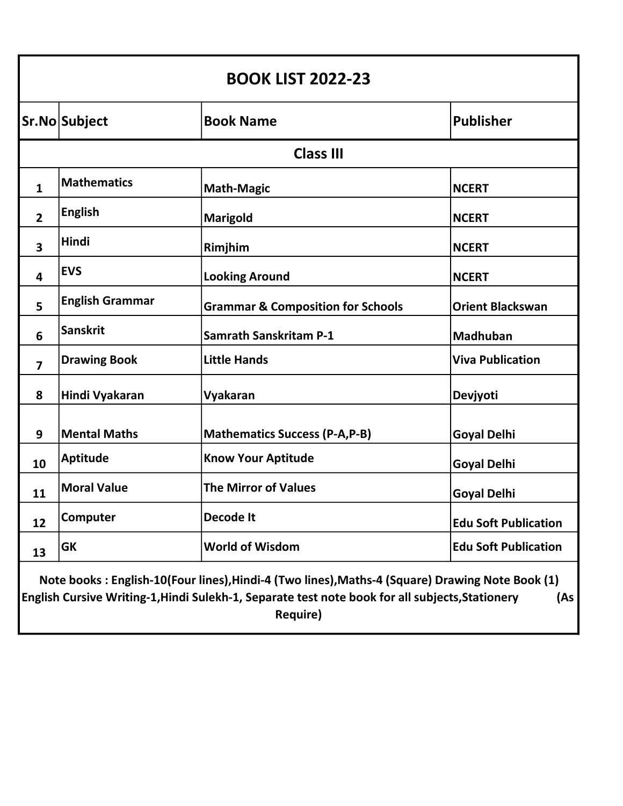| <b>BOOK LIST 2022-23</b>                                                                                                                                                                                                     |                        |                                              |                             |
|------------------------------------------------------------------------------------------------------------------------------------------------------------------------------------------------------------------------------|------------------------|----------------------------------------------|-----------------------------|
|                                                                                                                                                                                                                              | Sr.No Subject          | <b>Book Name</b>                             | <b>Publisher</b>            |
|                                                                                                                                                                                                                              |                        | <b>Class III</b>                             |                             |
| $\mathbf{1}$                                                                                                                                                                                                                 | <b>Mathematics</b>     | <b>Math-Magic</b>                            | <b>NCERT</b>                |
| $\overline{2}$                                                                                                                                                                                                               | <b>English</b>         | Marigold                                     | <b>NCERT</b>                |
| 3                                                                                                                                                                                                                            | <b>Hindi</b>           | Rimjhim                                      | <b>NCERT</b>                |
| 4                                                                                                                                                                                                                            | <b>EVS</b>             | <b>Looking Around</b>                        | <b>NCERT</b>                |
| 5                                                                                                                                                                                                                            | <b>English Grammar</b> | <b>Grammar &amp; Composition for Schools</b> | <b>Orient Blackswan</b>     |
| 6                                                                                                                                                                                                                            | <b>Sanskrit</b>        | <b>Samrath Sanskritam P-1</b>                | <b>Madhuban</b>             |
| $\overline{\mathbf{z}}$                                                                                                                                                                                                      | <b>Drawing Book</b>    | <b>Little Hands</b>                          | <b>Viva Publication</b>     |
| 8                                                                                                                                                                                                                            | Hindi Vyakaran         | Vyakaran                                     | Devjyoti                    |
| 9                                                                                                                                                                                                                            | <b>Mental Maths</b>    | <b>Mathematics Success (P-A,P-B)</b>         | <b>Goyal Delhi</b>          |
| 10                                                                                                                                                                                                                           | <b>Aptitude</b>        | <b>Know Your Aptitude</b>                    | <b>Goyal Delhi</b>          |
| 11                                                                                                                                                                                                                           | <b>Moral Value</b>     | <b>The Mirror of Values</b>                  | <b>Goyal Delhi</b>          |
| 12                                                                                                                                                                                                                           | Computer               | <b>Decode It</b>                             | <b>Edu Soft Publication</b> |
| 13                                                                                                                                                                                                                           | <b>GK</b>              | <b>World of Wisdom</b>                       | <b>Edu Soft Publication</b> |
| Note books: English-10(Four lines), Hindi-4 (Two lines), Maths-4 (Square) Drawing Note Book (1)<br>English Cursive Writing-1, Hindi Sulekh-1, Separate test note book for all subjects, Stationery<br>(As<br><b>Require)</b> |                        |                                              |                             |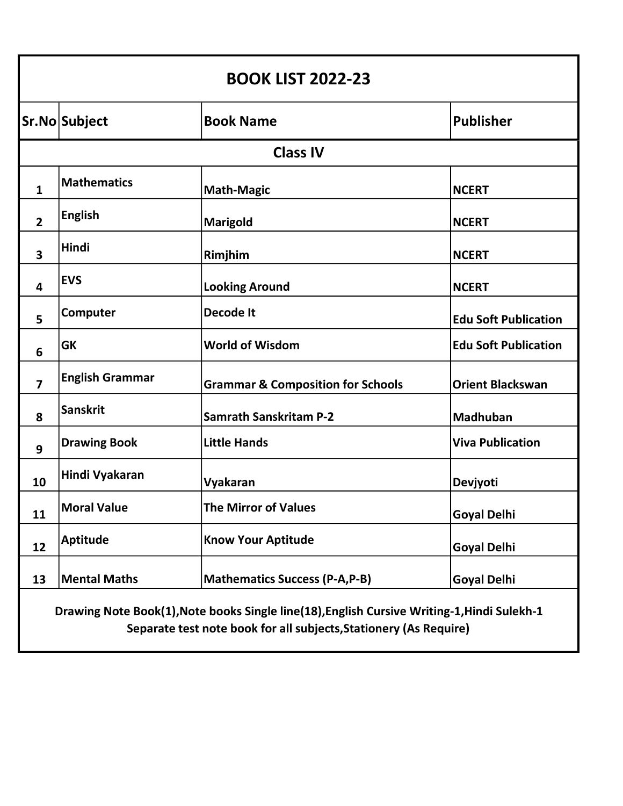| <b>BOOK LIST 2022-23</b>                                                                                                                                         |                        |                                              |                             |
|------------------------------------------------------------------------------------------------------------------------------------------------------------------|------------------------|----------------------------------------------|-----------------------------|
|                                                                                                                                                                  | Sr.No Subject          | <b>Book Name</b>                             | <b>Publisher</b>            |
|                                                                                                                                                                  |                        | <b>Class IV</b>                              |                             |
| $\mathbf{1}$                                                                                                                                                     | <b>Mathematics</b>     | <b>Math-Magic</b>                            | <b>NCERT</b>                |
| $\overline{2}$                                                                                                                                                   | <b>English</b>         | <b>Marigold</b>                              | <b>NCERT</b>                |
| $\overline{\mathbf{3}}$                                                                                                                                          | Hindi                  | Rimjhim                                      | <b>NCERT</b>                |
| 4                                                                                                                                                                | <b>EVS</b>             | <b>Looking Around</b>                        | <b>NCERT</b>                |
| 5                                                                                                                                                                | Computer               | <b>Decode It</b>                             | <b>Edu Soft Publication</b> |
| 6                                                                                                                                                                | <b>GK</b>              | <b>World of Wisdom</b>                       | <b>Edu Soft Publication</b> |
| $\overline{\mathbf{z}}$                                                                                                                                          | <b>English Grammar</b> | <b>Grammar &amp; Composition for Schools</b> | <b>Orient Blackswan</b>     |
| 8                                                                                                                                                                | <b>Sanskrit</b>        | <b>Samrath Sanskritam P-2</b>                | Madhuban                    |
| 9                                                                                                                                                                | <b>Drawing Book</b>    | <b>Little Hands</b>                          | <b>Viva Publication</b>     |
| 10                                                                                                                                                               | Hindi Vyakaran         | Vyakaran                                     | Devjyoti                    |
| 11                                                                                                                                                               | <b>Moral Value</b>     | <b>The Mirror of Values</b>                  | <b>Goyal Delhi</b>          |
| 12                                                                                                                                                               | <b>Aptitude</b>        | <b>Know Your Aptitude</b>                    | <b>Goyal Delhi</b>          |
| 13                                                                                                                                                               | <b>Mental Maths</b>    | <b>Mathematics Success (P-A,P-B)</b>         | <b>Goyal Delhi</b>          |
| Drawing Note Book(1), Note books Single line(18), English Cursive Writing-1, Hindi Sulekh-1<br>Separate test note book for all subjects, Stationery (As Require) |                        |                                              |                             |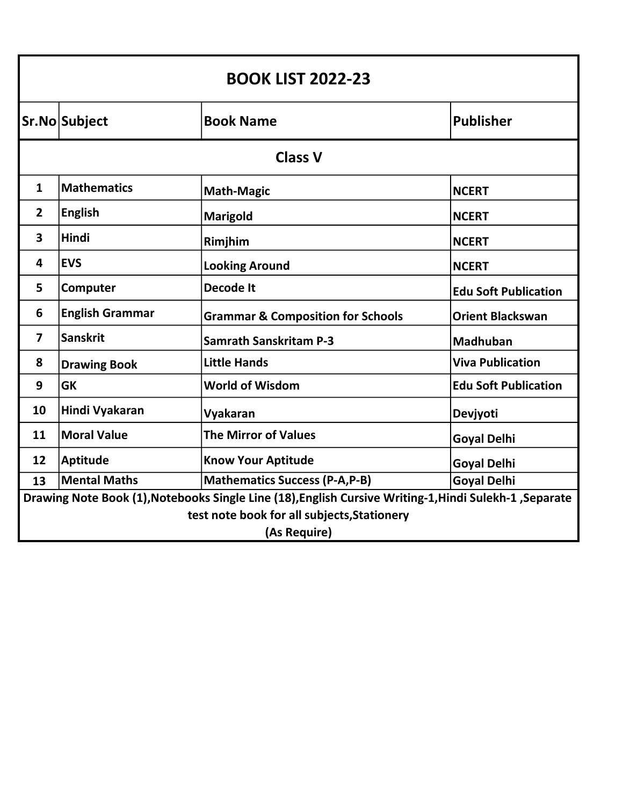| <b>BOOK LIST 2022-23</b>                                                                               |                        |                                              |                             |
|--------------------------------------------------------------------------------------------------------|------------------------|----------------------------------------------|-----------------------------|
|                                                                                                        | Sr.No Subject          | <b>Book Name</b>                             | <b>Publisher</b>            |
|                                                                                                        |                        | <b>Class V</b>                               |                             |
| $\mathbf{1}$                                                                                           | <b>Mathematics</b>     | <b>Math-Magic</b>                            | <b>NCERT</b>                |
| $\overline{2}$                                                                                         | <b>English</b>         | <b>Marigold</b>                              | <b>NCERT</b>                |
| 3                                                                                                      | <b>Hindi</b>           | Rimjhim                                      | <b>NCERT</b>                |
| 4                                                                                                      | <b>EVS</b>             | <b>Looking Around</b>                        | <b>NCERT</b>                |
| 5                                                                                                      | Computer               | Decode It                                    | <b>Edu Soft Publication</b> |
| 6                                                                                                      | <b>English Grammar</b> | <b>Grammar &amp; Composition for Schools</b> | <b>Orient Blackswan</b>     |
| $\overline{\mathbf{z}}$                                                                                | <b>Sanskrit</b>        | <b>Samrath Sanskritam P-3</b>                | <b>Madhuban</b>             |
| 8                                                                                                      | <b>Drawing Book</b>    | <b>Little Hands</b>                          | <b>Viva Publication</b>     |
| 9                                                                                                      | <b>GK</b>              | <b>World of Wisdom</b>                       | <b>Edu Soft Publication</b> |
| 10                                                                                                     | Hindi Vyakaran         | Vyakaran                                     | Devjyoti                    |
| 11                                                                                                     | <b>Moral Value</b>     | <b>The Mirror of Values</b>                  | <b>Goyal Delhi</b>          |
| 12                                                                                                     | <b>Aptitude</b>        | <b>Know Your Aptitude</b>                    | <b>Goyal Delhi</b>          |
| 13                                                                                                     | <b>Mental Maths</b>    | <b>Mathematics Success (P-A,P-B)</b>         | <b>Goyal Delhi</b>          |
| Drawing Note Book (1), Notebooks Single Line (18), English Cursive Writing-1, Hindi Sulekh-1, Separate |                        |                                              |                             |
| test note book for all subjects, Stationery                                                            |                        |                                              |                             |
| (As Require)                                                                                           |                        |                                              |                             |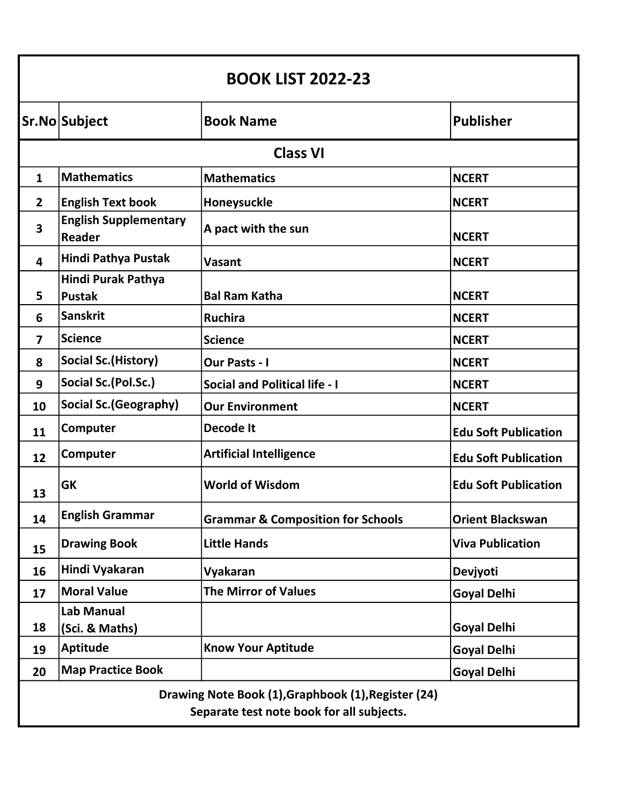| <b>BOOK LIST 2022-23</b>                                                                         |                                               |                                              |                             |
|--------------------------------------------------------------------------------------------------|-----------------------------------------------|----------------------------------------------|-----------------------------|
|                                                                                                  | Sr.No Subject                                 | <b>Book Name</b>                             | <b>Publisher</b>            |
|                                                                                                  |                                               | <b>Class VI</b>                              |                             |
| $\mathbf{1}$                                                                                     | <b>Mathematics</b>                            | <b>Mathematics</b>                           | <b>NCERT</b>                |
| $\overline{2}$                                                                                   | <b>English Text book</b>                      | Honeysuckle                                  | <b>NCERT</b>                |
| $\overline{\mathbf{3}}$                                                                          | <b>English Supplementary</b><br><b>Reader</b> | A pact with the sun                          | <b>NCERT</b>                |
| $\overline{\mathbf{4}}$                                                                          | Hindi Pathya Pustak                           | Vasant                                       | <b>NCERT</b>                |
| 5                                                                                                | <b>Hindi Purak Pathya</b><br><b>Pustak</b>    | <b>Bal Ram Katha</b>                         | <b>NCERT</b>                |
| 6                                                                                                | <b>Sanskrit</b>                               | <b>Ruchira</b>                               | <b>NCERT</b>                |
| $\overline{\mathbf{z}}$                                                                          | <b>Science</b>                                | <b>Science</b>                               | <b>NCERT</b>                |
| 8                                                                                                | <b>Social Sc. (History)</b>                   | <b>Our Pasts - I</b>                         | <b>NCERT</b>                |
| 9                                                                                                | Social Sc.(Pol.Sc.)                           | <b>Social and Political life - I</b>         | <b>NCERT</b>                |
| 10                                                                                               | <b>Social Sc. (Geography)</b>                 | <b>Our Environment</b>                       | <b>NCERT</b>                |
| 11                                                                                               | Computer                                      | Decode It                                    | <b>Edu Soft Publication</b> |
| 12                                                                                               | Computer                                      | <b>Artificial Intelligence</b>               | <b>Edu Soft Publication</b> |
| 13                                                                                               | <b>GK</b>                                     | <b>World of Wisdom</b>                       | <b>Edu Soft Publication</b> |
| 14                                                                                               | <b>English Grammar</b>                        | <b>Grammar &amp; Composition for Schools</b> | <b>Orient Blackswan</b>     |
| 15                                                                                               | <b>Drawing Book</b>                           | <b>Little Hands</b>                          | <b>Viva Publication</b>     |
| 16                                                                                               | Hindi Vyakaran                                | Vyakaran                                     | Devjyoti                    |
| 17                                                                                               | <b>Moral Value</b>                            | <b>The Mirror of Values</b>                  | <b>Goyal Delhi</b>          |
| 18                                                                                               | Lab Manual<br>(Sci. & Maths)                  |                                              | <b>Goyal Delhi</b>          |
| 19                                                                                               | <b>Aptitude</b>                               | <b>Know Your Aptitude</b>                    | <b>Goyal Delhi</b>          |
| 20                                                                                               | <b>Map Practice Book</b>                      |                                              | <b>Goyal Delhi</b>          |
| Drawing Note Book (1), Graphbook (1), Register (24)<br>Separate test note book for all subjects. |                                               |                                              |                             |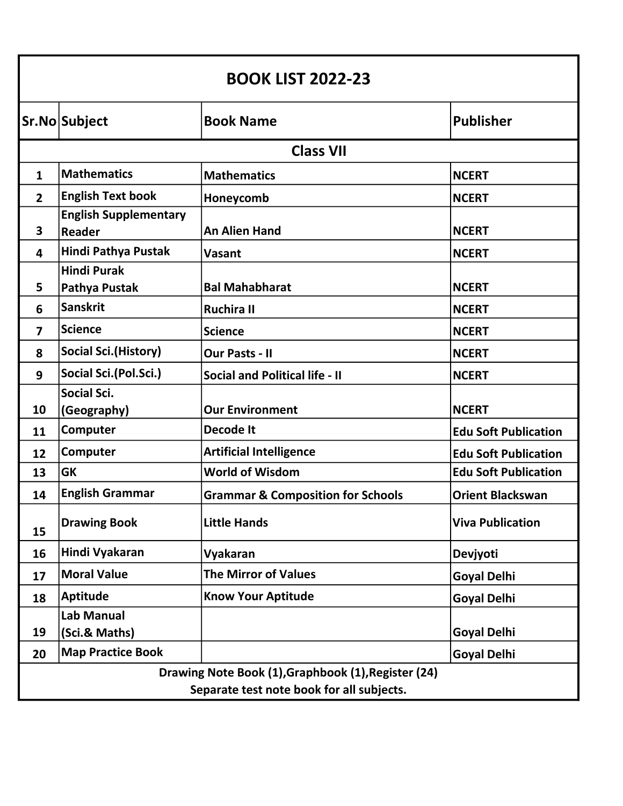| <b>BOOK LIST 2022-23</b> |                                                                                                  |                                              |                             |  |
|--------------------------|--------------------------------------------------------------------------------------------------|----------------------------------------------|-----------------------------|--|
|                          | Sr.No Subject                                                                                    | <b>Book Name</b>                             | <b>Publisher</b>            |  |
|                          |                                                                                                  | <b>Class VII</b>                             |                             |  |
| $\mathbf{1}$             | <b>Mathematics</b>                                                                               | <b>Mathematics</b>                           | <b>NCERT</b>                |  |
| $\overline{2}$           | <b>English Text book</b>                                                                         | Honeycomb                                    | <b>NCERT</b>                |  |
| 3                        | <b>English Supplementary</b><br>Reader                                                           | <b>An Alien Hand</b>                         | <b>NCERT</b>                |  |
| 4                        | Hindi Pathya Pustak                                                                              | Vasant                                       | <b>NCERT</b>                |  |
| 5                        | <b>Hindi Purak</b><br>Pathya Pustak                                                              | <b>Bal Mahabharat</b>                        | <b>NCERT</b>                |  |
| 6                        | <b>Sanskrit</b>                                                                                  | <b>Ruchira II</b>                            | <b>NCERT</b>                |  |
| 7                        | <b>Science</b>                                                                                   | <b>Science</b>                               | <b>NCERT</b>                |  |
| 8                        | <b>Social Sci. (History)</b>                                                                     | <b>Our Pasts - II</b>                        | <b>NCERT</b>                |  |
| 9                        | Social Sci.(Pol.Sci.)                                                                            | <b>Social and Political life - II</b>        | <b>NCERT</b>                |  |
| 10                       | <b>Social Sci.</b><br>(Geography)                                                                | <b>Our Environment</b>                       | <b>NCERT</b>                |  |
| 11                       | Computer                                                                                         | <b>Decode It</b>                             | <b>Edu Soft Publication</b> |  |
| 12                       | Computer                                                                                         | <b>Artificial Intelligence</b>               | <b>Edu Soft Publication</b> |  |
| 13                       | <b>GK</b>                                                                                        | <b>World of Wisdom</b>                       | <b>Edu Soft Publication</b> |  |
| 14                       | <b>English Grammar</b>                                                                           | <b>Grammar &amp; Composition for Schools</b> | <b>Orient Blackswan</b>     |  |
| 15                       | <b>Drawing Book</b>                                                                              | <b>Little Hands</b>                          | <b>Viva Publication</b>     |  |
| 16                       | Hindi Vyakaran                                                                                   | Vyakaran                                     | Devjyoti                    |  |
| 17                       | <b>Moral Value</b>                                                                               | <b>The Mirror of Values</b>                  | <b>Goyal Delhi</b>          |  |
| 18                       | <b>Aptitude</b>                                                                                  | <b>Know Your Aptitude</b>                    | <b>Goyal Delhi</b>          |  |
| 19                       | <b>Lab Manual</b><br>(Sci.& Maths)                                                               |                                              | <b>Goyal Delhi</b>          |  |
| 20                       | <b>Map Practice Book</b>                                                                         |                                              | <b>Goyal Delhi</b>          |  |
|                          | Drawing Note Book (1), Graphbook (1), Register (24)<br>Separate test note book for all subjects. |                                              |                             |  |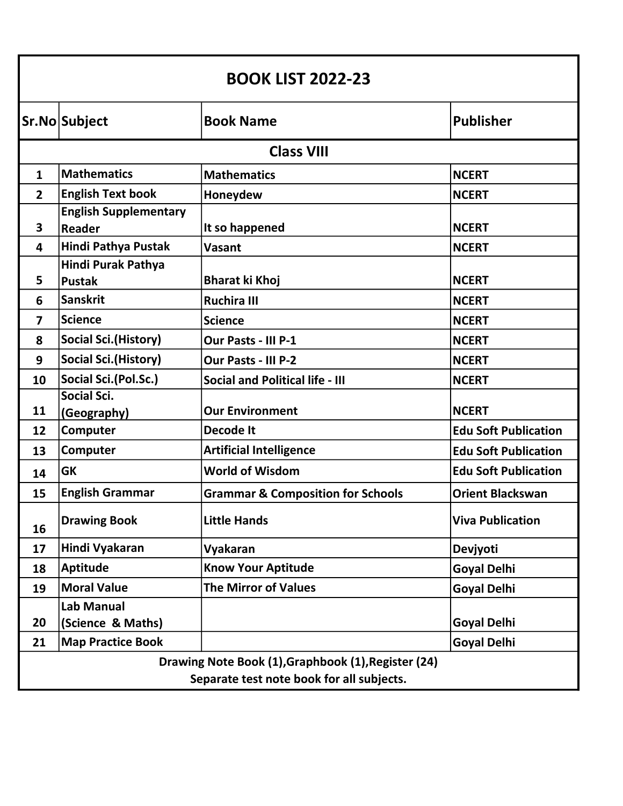| <b>BOOK LIST 2022-23</b>                  |                                               |                                                     |                             |
|-------------------------------------------|-----------------------------------------------|-----------------------------------------------------|-----------------------------|
|                                           | Sr.No Subject                                 | <b>Book Name</b>                                    | <b>Publisher</b>            |
|                                           |                                               | <b>Class VIII</b>                                   |                             |
| $\mathbf{1}$                              | Mathematics                                   | <b>Mathematics</b>                                  | <b>NCERT</b>                |
| $\overline{2}$                            | <b>English Text book</b>                      | Honeydew                                            | <b>NCERT</b>                |
| 3                                         | <b>English Supplementary</b><br><b>Reader</b> | It so happened                                      | <b>NCERT</b>                |
| 4                                         | Hindi Pathya Pustak                           | Vasant                                              | <b>NCERT</b>                |
|                                           | Hindi Purak Pathya                            |                                                     |                             |
| 5                                         | <b>Pustak</b>                                 | <b>Bharat ki Khoj</b>                               | <b>NCERT</b>                |
| 6                                         | <b>Sanskrit</b>                               | <b>Ruchira III</b>                                  | <b>NCERT</b>                |
| $\overline{\mathbf{z}}$                   | <b>Science</b>                                | <b>Science</b>                                      | <b>NCERT</b>                |
| 8                                         | <b>Social Sci. (History)</b>                  | Our Pasts - III P-1                                 | <b>NCERT</b>                |
| 9                                         | <b>Social Sci. (History)</b>                  | Our Pasts - III P-2                                 | <b>NCERT</b>                |
| 10                                        | Social Sci.(Pol.Sc.)                          | <b>Social and Political life - III</b>              | <b>NCERT</b>                |
|                                           | <b>Social Sci.</b>                            |                                                     |                             |
| 11                                        | (Geography)                                   | <b>Our Environment</b>                              | <b>NCERT</b>                |
| 12                                        | Computer                                      | <b>Decode It</b>                                    | <b>Edu Soft Publication</b> |
| 13                                        | Computer                                      | <b>Artificial Intelligence</b>                      | <b>Edu Soft Publication</b> |
| 14                                        | <b>GK</b>                                     | <b>World of Wisdom</b>                              | <b>Edu Soft Publication</b> |
| 15                                        | <b>English Grammar</b>                        | <b>Grammar &amp; Composition for Schools</b>        | <b>Orient Blackswan</b>     |
| 16                                        | <b>Drawing Book</b>                           | <b>Little Hands</b>                                 | <b>Viva Publication</b>     |
| 17                                        | Hindi Vyakaran                                | Vyakaran                                            | Devjyoti                    |
| 18                                        | <b>Aptitude</b>                               | <b>Know Your Aptitude</b>                           | <b>Goyal Delhi</b>          |
| 19                                        | <b>Moral Value</b>                            | <b>The Mirror of Values</b>                         | <b>Goyal Delhi</b>          |
|                                           | <b>Lab Manual</b>                             |                                                     |                             |
| 20                                        | (Science & Maths)                             |                                                     | <b>Goyal Delhi</b>          |
| 21                                        | <b>Map Practice Book</b>                      |                                                     | <b>Goyal Delhi</b>          |
|                                           |                                               | Drawing Note Book (1), Graphbook (1), Register (24) |                             |
| Separate test note book for all subjects. |                                               |                                                     |                             |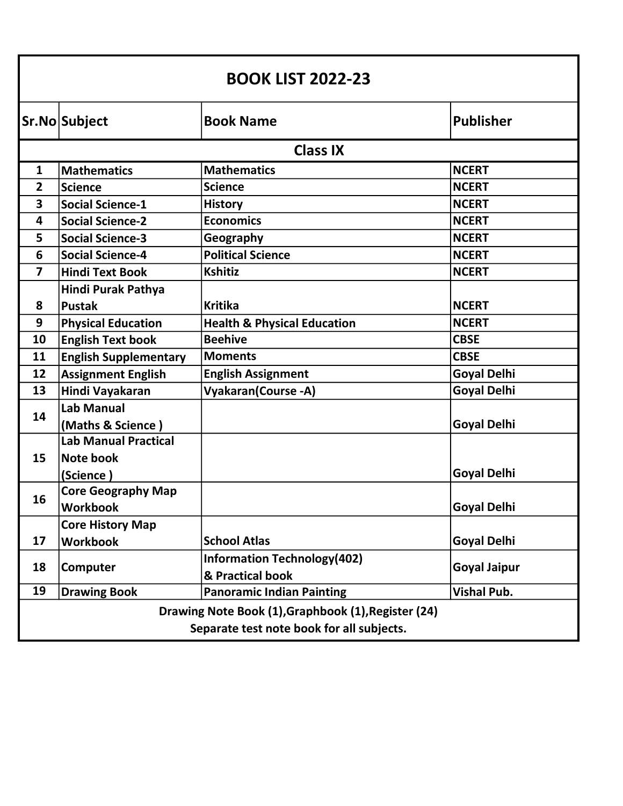| <b>BOOK LIST 2022-23</b>                                                                         |                              |                                                        |                     |
|--------------------------------------------------------------------------------------------------|------------------------------|--------------------------------------------------------|---------------------|
|                                                                                                  | Sr.No Subject                | <b>Book Name</b>                                       | <b>Publisher</b>    |
|                                                                                                  |                              | <b>Class IX</b>                                        |                     |
| $\mathbf{1}$                                                                                     | <b>Mathematics</b>           | <b>Mathematics</b>                                     | <b>NCERT</b>        |
| $\overline{2}$                                                                                   | Science                      | <b>Science</b>                                         | <b>NCERT</b>        |
| 3                                                                                                | <b>Social Science-1</b>      | <b>History</b>                                         | <b>NCERT</b>        |
| 4                                                                                                | <b>Social Science-2</b>      | <b>Economics</b>                                       | <b>NCERT</b>        |
| 5                                                                                                | <b>Social Science-3</b>      | Geography                                              | <b>NCERT</b>        |
| 6                                                                                                | <b>Social Science-4</b>      | <b>Political Science</b>                               | <b>NCERT</b>        |
| 7                                                                                                | <b>Hindi Text Book</b>       | <b>Kshitiz</b>                                         | <b>NCERT</b>        |
|                                                                                                  | Hindi Purak Pathya           |                                                        |                     |
| 8                                                                                                | <b>Pustak</b>                | <b>Kritika</b>                                         | <b>NCERT</b>        |
| 9                                                                                                | <b>Physical Education</b>    | <b>Health &amp; Physical Education</b>                 | <b>NCERT</b>        |
| 10                                                                                               | <b>English Text book</b>     | <b>Beehive</b>                                         | <b>CBSE</b>         |
| 11                                                                                               | <b>English Supplementary</b> | <b>Moments</b>                                         | <b>CBSE</b>         |
| 12                                                                                               | <b>Assignment English</b>    | <b>English Assignment</b>                              | <b>Goyal Delhi</b>  |
| 13                                                                                               | Hindi Vayakaran              | <b>Vyakaran(Course -A)</b>                             | <b>Goyal Delhi</b>  |
|                                                                                                  | <b>Lab Manual</b>            |                                                        |                     |
| 14                                                                                               | (Maths & Science)            |                                                        | <b>Goyal Delhi</b>  |
|                                                                                                  | <b>Lab Manual Practical</b>  |                                                        |                     |
| 15                                                                                               | Note book                    |                                                        |                     |
|                                                                                                  | (Science)                    |                                                        | <b>Goyal Delhi</b>  |
| 16                                                                                               | <b>Core Geography Map</b>    |                                                        |                     |
|                                                                                                  | <b>Workbook</b>              |                                                        | Goyal Delhi         |
|                                                                                                  | <b>Core History Map</b>      |                                                        |                     |
| 17                                                                                               | <b>Workbook</b>              | <b>School Atlas</b>                                    | <b>Goyal Delhi</b>  |
| 18                                                                                               | Computer                     | <b>Information Technology(402)</b><br>& Practical book | <b>Goyal Jaipur</b> |
| 19                                                                                               | <b>Drawing Book</b>          | <b>Panoramic Indian Painting</b>                       | <b>Vishal Pub.</b>  |
| Drawing Note Book (1), Graphbook (1), Register (24)<br>Separate test note book for all subjects. |                              |                                                        |                     |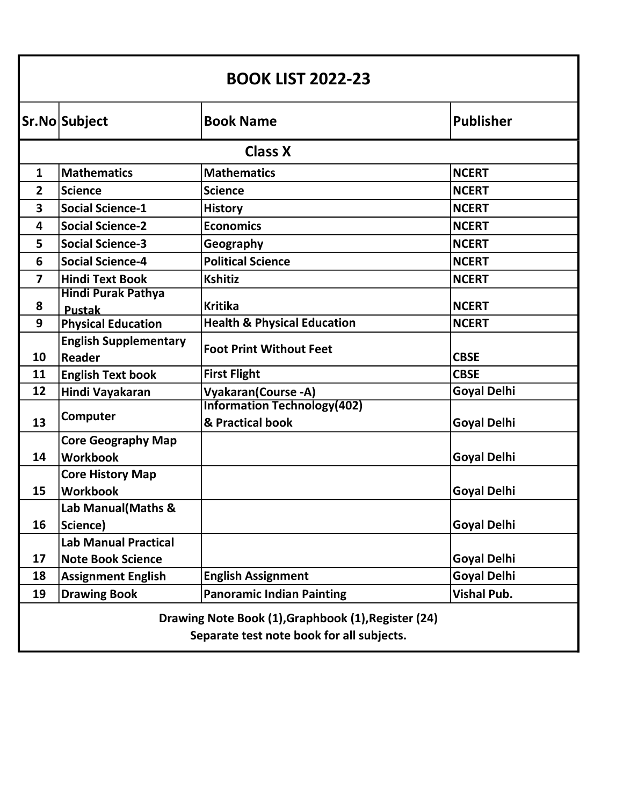| <b>BOOK LIST 2022-23</b>                                                                         |                                        |                                        |                    |  |
|--------------------------------------------------------------------------------------------------|----------------------------------------|----------------------------------------|--------------------|--|
|                                                                                                  | Sr.No Subject                          | <b>Book Name</b>                       | <b>Publisher</b>   |  |
|                                                                                                  | <b>Class X</b>                         |                                        |                    |  |
| $\mathbf{1}$                                                                                     | <b>Mathematics</b>                     | <b>Mathematics</b>                     | <b>NCERT</b>       |  |
| $\overline{2}$                                                                                   | <b>Science</b>                         | <b>Science</b>                         | <b>NCERT</b>       |  |
| 3                                                                                                | <b>Social Science-1</b>                | <b>History</b>                         | <b>NCERT</b>       |  |
| 4                                                                                                | <b>Social Science-2</b>                | <b>Economics</b>                       | <b>NCERT</b>       |  |
| 5                                                                                                | <b>Social Science-3</b>                | Geography                              | <b>NCERT</b>       |  |
| 6                                                                                                | <b>Social Science-4</b>                | <b>Political Science</b>               | <b>NCERT</b>       |  |
| $\overline{\mathbf{z}}$                                                                          | <b>Hindi Text Book</b>                 | <b>Kshitiz</b>                         | <b>NCERT</b>       |  |
|                                                                                                  | <b>Hindi Purak Pathya</b>              |                                        |                    |  |
| 8                                                                                                | <b>Pustak</b>                          | <b>Kritika</b>                         | <b>NCERT</b>       |  |
| 9                                                                                                | <b>Physical Education</b>              | <b>Health &amp; Physical Education</b> | <b>NCERT</b>       |  |
| 10                                                                                               | <b>English Supplementary</b><br>Reader | <b>Foot Print Without Feet</b>         | <b>CBSE</b>        |  |
| 11                                                                                               | <b>English Text book</b>               | <b>First Flight</b>                    | <b>CBSE</b>        |  |
| 12                                                                                               | Hindi Vayakaran                        | <b>Vyakaran(Course -A)</b>             | <b>Goyal Delhi</b> |  |
|                                                                                                  |                                        | <b>Information Technology(402)</b>     |                    |  |
| 13                                                                                               | Computer                               | & Practical book                       | <b>Goyal Delhi</b> |  |
|                                                                                                  | <b>Core Geography Map</b>              |                                        |                    |  |
| 14                                                                                               | <b>Workbook</b>                        |                                        | <b>Goyal Delhi</b> |  |
|                                                                                                  | <b>Core History Map</b>                |                                        |                    |  |
| 15                                                                                               | <b>Workbook</b>                        |                                        | <b>Goyal Delhi</b> |  |
|                                                                                                  | Lab Manual(Maths &                     |                                        |                    |  |
| 16                                                                                               | Science)                               |                                        | <b>Goyal Delhi</b> |  |
|                                                                                                  | <b>Lab Manual Practical</b>            |                                        |                    |  |
| 17                                                                                               | <b>Note Book Science</b>               |                                        | <b>Goyal Delhi</b> |  |
| 18                                                                                               | <b>Assignment English</b>              | <b>English Assignment</b>              | <b>Goyal Delhi</b> |  |
| 19                                                                                               | <b>Drawing Book</b>                    | <b>Panoramic Indian Painting</b>       | <b>Vishal Pub.</b> |  |
| Drawing Note Book (1), Graphbook (1), Register (24)<br>Separate test note book for all subjects. |                                        |                                        |                    |  |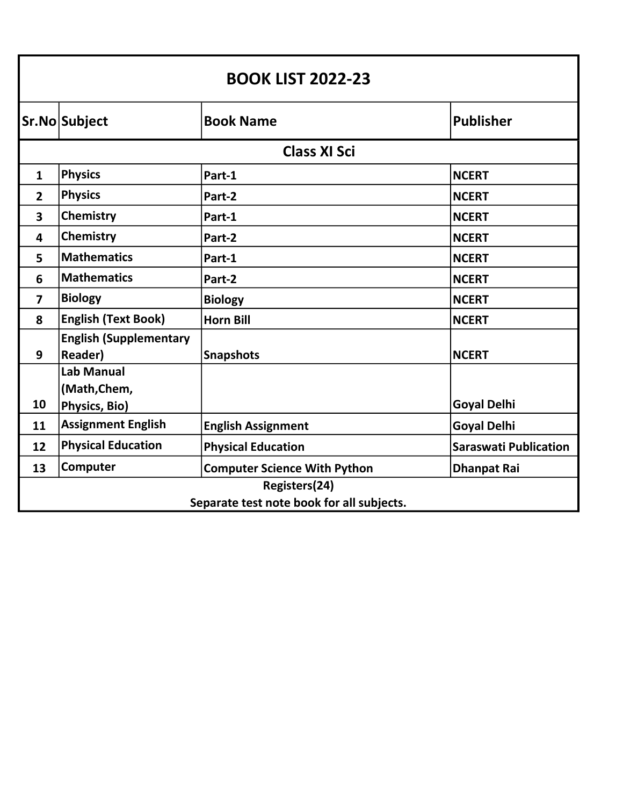| <b>BOOK LIST 2022-23</b>                  |                                                    |                                     |                              |
|-------------------------------------------|----------------------------------------------------|-------------------------------------|------------------------------|
|                                           | Sr.No Subject                                      | <b>Book Name</b>                    | Publisher                    |
| <b>Class XI Sci</b>                       |                                                    |                                     |                              |
| $\mathbf{1}$                              | <b>Physics</b>                                     | Part-1                              | <b>NCERT</b>                 |
| $\overline{2}$                            | <b>Physics</b>                                     | Part-2                              | <b>NCERT</b>                 |
| 3                                         | Chemistry                                          | Part-1                              | <b>NCERT</b>                 |
| $\overline{\mathbf{4}}$                   | <b>Chemistry</b>                                   | Part-2                              | <b>NCERT</b>                 |
| 5                                         | <b>Mathematics</b>                                 | Part-1                              | <b>NCERT</b>                 |
| 6                                         | <b>Mathematics</b>                                 | Part-2                              | <b>NCERT</b>                 |
| $\overline{\mathbf{z}}$                   | <b>Biology</b>                                     | <b>Biology</b>                      | <b>NCERT</b>                 |
| 8                                         | <b>English (Text Book)</b>                         | <b>Horn Bill</b>                    | <b>NCERT</b>                 |
| 9                                         | <b>English (Supplementary</b><br><b>Reader)</b>    | <b>Snapshots</b>                    | <b>NCERT</b>                 |
| 10                                        | <b>Lab Manual</b><br>(Math, Chem,<br>Physics, Bio) |                                     | <b>Goyal Delhi</b>           |
| 11                                        | <b>Assignment English</b>                          | <b>English Assignment</b>           | <b>Goyal Delhi</b>           |
| 12                                        | <b>Physical Education</b>                          | <b>Physical Education</b>           | <b>Saraswati Publication</b> |
| 13                                        | Computer                                           | <b>Computer Science With Python</b> | <b>Dhanpat Rai</b>           |
| Registers(24)                             |                                                    |                                     |                              |
| Separate test note book for all subjects. |                                                    |                                     |                              |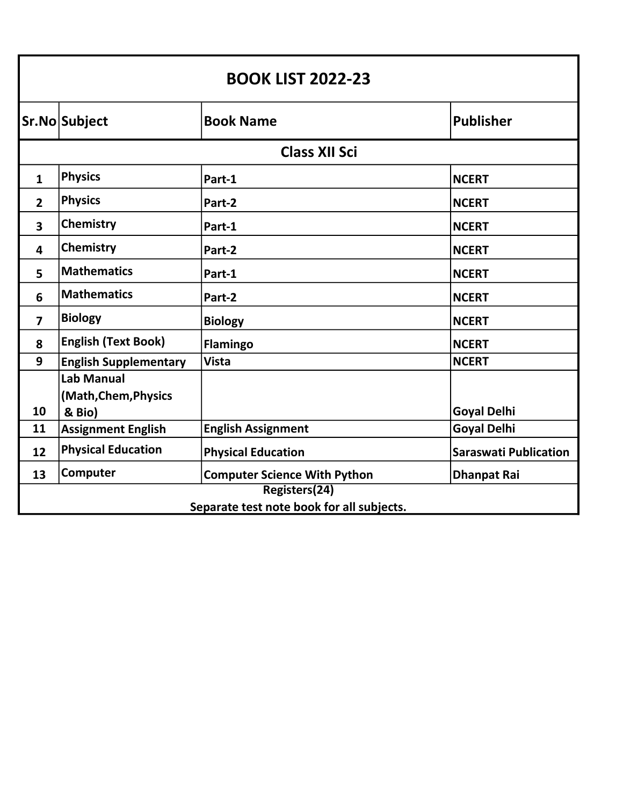| <b>BOOK LIST 2022-23</b>                  |                              |                                     |                              |
|-------------------------------------------|------------------------------|-------------------------------------|------------------------------|
|                                           | Sr.No Subject                | <b>Book Name</b>                    | <b>Publisher</b>             |
| <b>Class XII Sci</b>                      |                              |                                     |                              |
| $\mathbf{1}$                              | <b>Physics</b>               | Part-1                              | <b>NCERT</b>                 |
| $\overline{2}$                            | <b>Physics</b>               | Part-2                              | <b>NCERT</b>                 |
| 3                                         | Chemistry                    | Part-1                              | <b>NCERT</b>                 |
| 4                                         | Chemistry                    | Part-2                              | <b>NCERT</b>                 |
| 5                                         | <b>Mathematics</b>           | Part-1                              | <b>NCERT</b>                 |
| 6                                         | <b>Mathematics</b>           | Part-2                              | <b>NCERT</b>                 |
| $\overline{\mathbf{z}}$                   | <b>Biology</b>               | <b>Biology</b>                      | <b>NCERT</b>                 |
| 8                                         | <b>English (Text Book)</b>   | <b>Flamingo</b>                     | <b>NCERT</b>                 |
| 9                                         | <b>English Supplementary</b> | <b>Vista</b>                        | <b>NCERT</b>                 |
|                                           | <b>Lab Manual</b>            |                                     |                              |
|                                           | (Math, Chem, Physics         |                                     |                              |
| 10                                        | & Bio)                       |                                     | <b>Goyal Delhi</b>           |
| 11                                        | <b>Assignment English</b>    | <b>English Assignment</b>           | <b>Goyal Delhi</b>           |
| 12                                        | <b>Physical Education</b>    | <b>Physical Education</b>           | <b>Saraswati Publication</b> |
| 13                                        | Computer                     | <b>Computer Science With Python</b> | <b>Dhanpat Rai</b>           |
| Registers(24)                             |                              |                                     |                              |
| Separate test note book for all subjects. |                              |                                     |                              |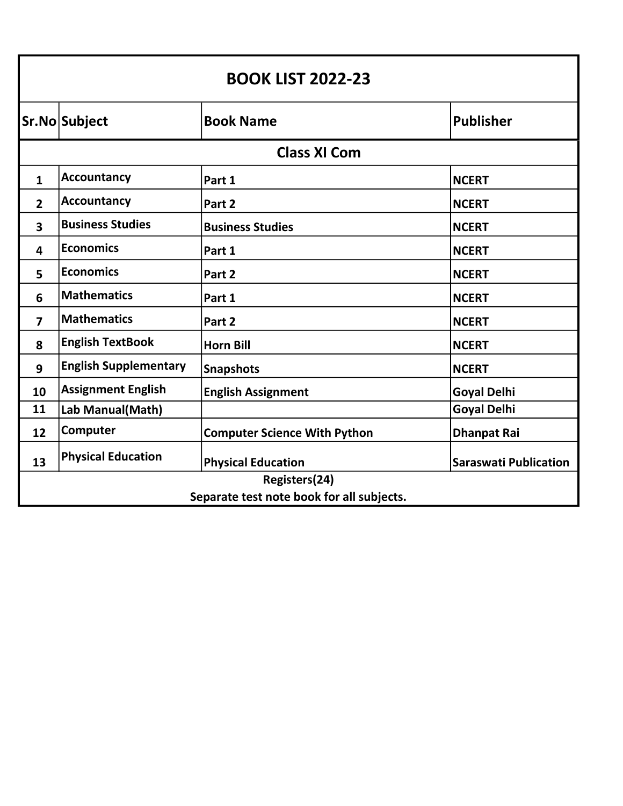| <b>BOOK LIST 2022-23</b>                  |                              |                                     |                              |
|-------------------------------------------|------------------------------|-------------------------------------|------------------------------|
|                                           | Sr.No Subject                | <b>Book Name</b>                    | <b>Publisher</b>             |
| <b>Class XI Com</b>                       |                              |                                     |                              |
| $\mathbf{1}$                              | <b>Accountancy</b>           | Part 1                              | <b>NCERT</b>                 |
| $\overline{2}$                            | <b>Accountancy</b>           | Part 2                              | <b>NCERT</b>                 |
| 3                                         | <b>Business Studies</b>      | <b>Business Studies</b>             | <b>NCERT</b>                 |
| 4                                         | <b>Economics</b>             | Part 1                              | <b>NCERT</b>                 |
| 5                                         | <b>Economics</b>             | Part 2                              | <b>NCERT</b>                 |
| 6                                         | <b>Mathematics</b>           | Part 1                              | <b>NCERT</b>                 |
| $\overline{7}$                            | <b>Mathematics</b>           | Part 2                              | <b>NCERT</b>                 |
| 8                                         | <b>English TextBook</b>      | <b>Horn Bill</b>                    | <b>NCERT</b>                 |
| 9                                         | <b>English Supplementary</b> | <b>Snapshots</b>                    | <b>NCERT</b>                 |
| 10                                        | <b>Assignment English</b>    | <b>English Assignment</b>           | <b>Goyal Delhi</b>           |
| 11                                        | Lab Manual(Math)             |                                     | <b>Goyal Delhi</b>           |
| 12                                        | Computer                     | <b>Computer Science With Python</b> | <b>Dhanpat Rai</b>           |
| 13                                        | <b>Physical Education</b>    | <b>Physical Education</b>           | <b>Saraswati Publication</b> |
| Registers(24)                             |                              |                                     |                              |
| Separate test note book for all subjects. |                              |                                     |                              |